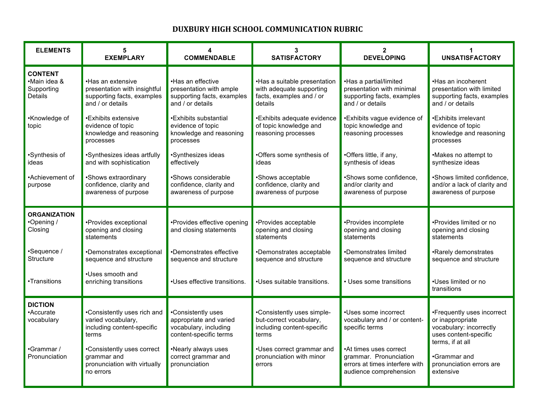## **DUXBURY HIGH SCHOOL COMMUNICATION RUBRIC**

| <b>ELEMENTS</b>                                         | 5<br><b>EXEMPLARY</b>                                                                               | <b>COMMENDABLE</b>                                                                              | 3<br><b>SATISFACTORY</b>                                                                        | $\mathbf{2}$<br><b>DEVELOPING</b>                                                                            | <b>UNSATISFACTORY</b>                                                                                                  |
|---------------------------------------------------------|-----------------------------------------------------------------------------------------------------|-------------------------------------------------------------------------------------------------|-------------------------------------------------------------------------------------------------|--------------------------------------------------------------------------------------------------------------|------------------------------------------------------------------------------------------------------------------------|
| <b>CONTENT</b><br>•Main idea &<br>Supporting<br>Details | •Has an extensive<br>presentation with insightful<br>supporting facts, examples<br>and / or details | •Has an effective<br>presentation with ample<br>supporting facts, examples<br>and / or details  | •Has a suitable presentation<br>with adequate supporting<br>facts, examples and / or<br>details | •Has a partial/limited<br>presentation with minimal<br>supporting facts, examples<br>and / or details        | •Has an incoherent<br>presentation with limited<br>supporting facts, examples<br>and / or details                      |
| •Knowledge of<br>topic                                  | •Exhibits extensive<br>evidence of topic<br>knowledge and reasoning<br>processes                    | •Exhibits substantial<br>evidence of topic<br>knowledge and reasoning<br>processes              | •Exhibits adequate evidence<br>of topic knowledge and<br>reasoning processes                    | •Exhibits vague evidence of<br>topic knowledge and<br>reasoning processes                                    | •Exhibits irrelevant<br>evidence of topic<br>knowledge and reasoning<br>processes                                      |
| •Synthesis of<br>ideas                                  | •Synthesizes ideas artfully<br>and with sophistication                                              | •Synthesizes ideas<br>effectively                                                               | •Offers some synthesis of<br>ideas                                                              | •Offers little, if any,<br>synthesis of ideas                                                                | •Makes no attempt to<br>synthesize ideas                                                                               |
| •Achievement of<br>purpose                              | •Shows extraordinary<br>confidence, clarity and<br>awareness of purpose                             | •Shows considerable<br>confidence, clarity and<br>awareness of purpose                          | •Shows acceptable<br>confidence, clarity and<br>awareness of purpose                            | •Shows some confidence,<br>and/or clarity and<br>awareness of purpose                                        | •Shows limited confidence,<br>and/or a lack of clarity and<br>awareness of purpose                                     |
| <b>ORGANIZATION</b><br>•Opening /<br>Closing            | •Provides exceptional<br>opening and closing<br>statements                                          | •Provides effective opening<br>and closing statements                                           | •Provides acceptable<br>opening and closing<br>statements                                       | •Provides incomplete<br>opening and closing<br>statements                                                    | •Provides limited or no<br>opening and closing<br>statements                                                           |
| •Sequence /<br>Structure                                | •Demonstrates exceptional<br>sequence and structure                                                 | •Demonstrates effective<br>sequence and structure                                               | •Demonstrates acceptable<br>sequence and structure                                              | •Demonstrates limited<br>sequence and structure                                                              | •Rarely demonstrates<br>sequence and structure                                                                         |
| •Transitions                                            | .Uses smooth and<br>enriching transitions                                                           | •Uses effective transitions.                                                                    | .Uses suitable transitions.                                                                     | • Uses some transitions                                                                                      | •Uses limited or no<br>transitions                                                                                     |
| <b>DICTION</b><br>•Accurate<br>vocabulary               | •Consistently uses rich and<br>varied vocabulary,<br>including content-specific<br>terms            | •Consistently uses<br>appropriate and varied<br>vocabulary, including<br>content-specific terms | •Consistently uses simple-<br>but-correct vocabulary,<br>including content-specific<br>terms    | •Uses some incorrect<br>vocabulary and / or content-<br>specific terms                                       | •Frequently uses incorrect<br>or inappropriate<br>vocabulary: incorrectly<br>uses content-specific<br>terms, if at all |
| •Grammar /<br>Pronunciation                             | •Consistently uses correct<br>grammar and<br>pronunciation with virtually<br>no errors              | •Nearly always uses<br>correct grammar and<br>pronunciation                                     | •Uses correct grammar and<br>pronunciation with minor<br>errors                                 | •At times uses correct<br>grammar. Pronunciation<br>errors at times interfere with<br>audience comprehension | •Grammar and<br>pronunciation errors are<br>extensive                                                                  |